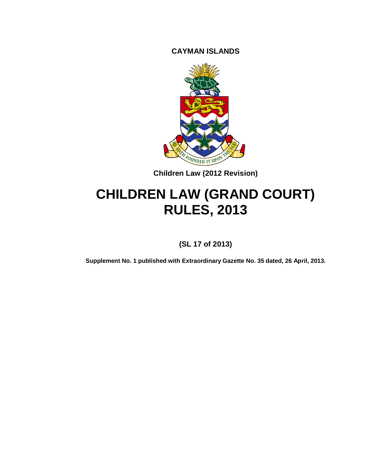**CAYMAN ISLANDS**



**Children Law (2012 Revision)**

# **CHILDREN LAW (GRAND COURT) RULES, 2013**

**(SL 17 of 2013)**

**Supplement No. 1 published with Extraordinary Gazette No. 35 dated, 26 April, 2013.**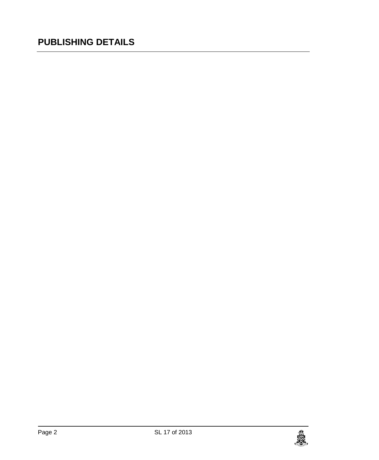# **PUBLISHING DETAILS**

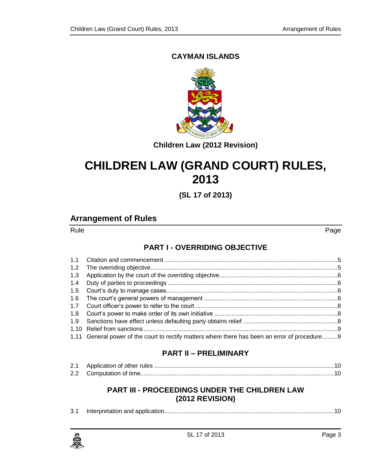#### **CAYMAN ISLANDS**



**Children Law (2012 Revision)**

# **CHILDREN LAW (GRAND COURT) RULES, 2013**

**(SL 17 of 2013)**

## **Arrangement of Rules**

Rule **Research Communication (Research Communication Communication Communication Communication Communication** 

#### **PART I - [OVERRIDING OBJECTIVE](#page-4-0)**

| 1.3 |                                                                                                |  |
|-----|------------------------------------------------------------------------------------------------|--|
| 1.4 |                                                                                                |  |
|     |                                                                                                |  |
|     |                                                                                                |  |
|     |                                                                                                |  |
|     |                                                                                                |  |
|     |                                                                                                |  |
|     |                                                                                                |  |
|     | 1.11 General power of the court to rectify matters where there has been an error of procedure9 |  |

#### **PART II – [PRELIMINARY](#page-9-0)**

#### **PART III - [PROCEEDINGS UNDER](#page-9-3) THE CHILDREN LAW [\(2012 REVISION\)](#page-9-3)**

|--|--|--|--|

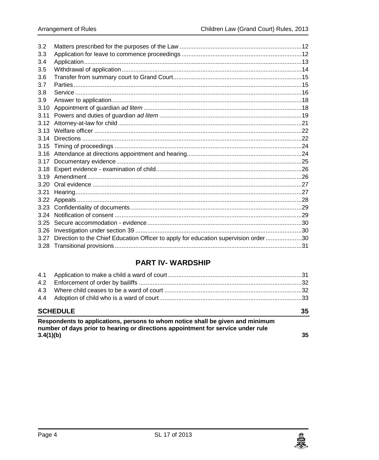| 3.2  |                                                                                     |  |
|------|-------------------------------------------------------------------------------------|--|
| 3.3  |                                                                                     |  |
| 3.4  |                                                                                     |  |
| 3.5  |                                                                                     |  |
| 3.6  |                                                                                     |  |
| 3.7  |                                                                                     |  |
| 3.8  |                                                                                     |  |
| 3.9  |                                                                                     |  |
| 3.10 |                                                                                     |  |
| 3.11 |                                                                                     |  |
|      |                                                                                     |  |
|      |                                                                                     |  |
|      |                                                                                     |  |
| 3.15 |                                                                                     |  |
|      |                                                                                     |  |
|      |                                                                                     |  |
|      |                                                                                     |  |
|      |                                                                                     |  |
|      |                                                                                     |  |
| 3.21 |                                                                                     |  |
|      |                                                                                     |  |
|      |                                                                                     |  |
|      |                                                                                     |  |
|      |                                                                                     |  |
| 3.26 |                                                                                     |  |
| 3.27 | Direction to the Chief Education Officer to apply for education supervision order30 |  |
|      |                                                                                     |  |
|      |                                                                                     |  |

### **PART IV-WARDSHIP**

| 4.3             |                                                                                                                                                                    |    |
|-----------------|--------------------------------------------------------------------------------------------------------------------------------------------------------------------|----|
|                 |                                                                                                                                                                    |    |
| <b>SCHEDULE</b> |                                                                                                                                                                    |    |
|                 |                                                                                                                                                                    | 35 |
|                 | Respondents to applications, persons to whom notice shall be given and minimum<br>number of days prior to hearing or directions appointment for service under rule |    |

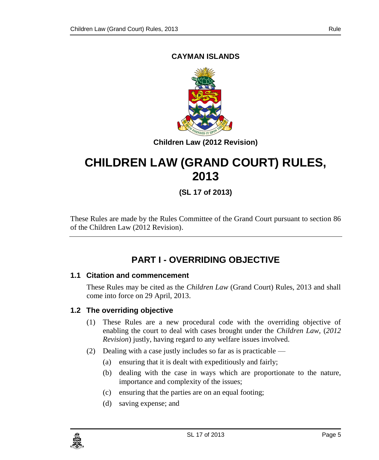#### **CAYMAN ISLANDS**



**Children Law (2012 Revision)**

# **CHILDREN LAW (GRAND COURT) RULES, 2013**

**(SL 17 of 2013)**

These Rules are made by the Rules Committee of the Grand Court pursuant to section 86 of the Children Law (2012 Revision).

# **PART I - OVERRIDING OBJECTIVE**

#### <span id="page-4-1"></span><span id="page-4-0"></span>**1.1 Citation and commencement**

These Rules may be cited as the *Children Law* (Grand Court) Rules, 2013 and shall come into force on 29 April, 2013.

#### <span id="page-4-2"></span>**1.2 The overriding objective**

- (1) These Rules are a new procedural code with the overriding objective of enabling the court to deal with cases brought under the *Children Law,* (*2012 Revision*) justly, having regard to any welfare issues involved.
- (2) Dealing with a case justly includes so far as is practicable
	- (a) ensuring that it is dealt with expeditiously and fairly;
	- (b) dealing with the case in ways which are proportionate to the nature, importance and complexity of the issues;
	- (c) ensuring that the parties are on an equal footing;
	- (d) saving expense; and

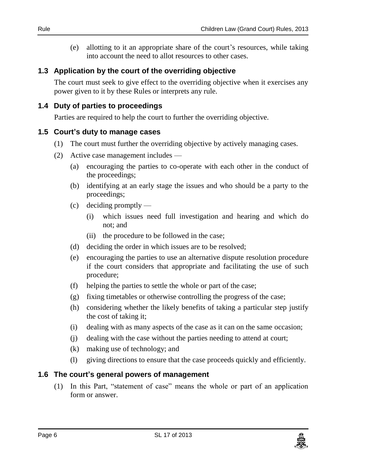(e) allotting to it an appropriate share of the court's resources, while taking into account the need to allot resources to other cases.

#### <span id="page-5-0"></span>**1.3 Application by the court of the overriding objective**

The court must seek to give effect to the overriding objective when it exercises any power given to it by these Rules or interprets any rule.

#### <span id="page-5-1"></span>**1.4 Duty of parties to proceedings**

Parties are required to help the court to further the overriding objective.

#### <span id="page-5-2"></span>**1.5 Court's duty to manage cases**

- (1) The court must further the overriding objective by actively managing cases.
- (2) Active case management includes
	- (a) encouraging the parties to co-operate with each other in the conduct of the proceedings;
	- (b) identifying at an early stage the issues and who should be a party to the proceedings;
	- (c) deciding promptly
		- (i) which issues need full investigation and hearing and which do not; and
		- (ii) the procedure to be followed in the case;
	- (d) deciding the order in which issues are to be resolved;
	- (e) encouraging the parties to use an alternative dispute resolution procedure if the court considers that appropriate and facilitating the use of such procedure;
	- (f) helping the parties to settle the whole or part of the case;
	- (g) fixing timetables or otherwise controlling the progress of the case;
	- (h) considering whether the likely benefits of taking a particular step justify the cost of taking it;
	- (i) dealing with as many aspects of the case as it can on the same occasion;
	- (j) dealing with the case without the parties needing to attend at court;
	- (k) making use of technology; and
	- (l) giving directions to ensure that the case proceeds quickly and efficiently.

#### <span id="page-5-3"></span>**1.6 The court's general powers of management**

(1) In this Part, "statement of case" means the whole or part of an application form or answer.

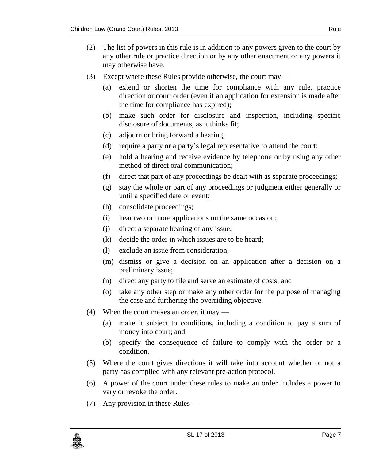- (2) The list of powers in this rule is in addition to any powers given to the court by any other rule or practice direction or by any other enactment or any powers it may otherwise have.
- (3) Except where these Rules provide otherwise, the court may
	- (a) extend or shorten the time for compliance with any rule, practice direction or court order (even if an application for extension is made after the time for compliance has expired);
	- (b) make such order for disclosure and inspection, including specific disclosure of documents, as it thinks fit;
	- (c) adjourn or bring forward a hearing;
	- (d) require a party or a party's legal representative to attend the court;
	- (e) hold a hearing and receive evidence by telephone or by using any other method of direct oral communication;
	- (f) direct that part of any proceedings be dealt with as separate proceedings;
	- (g) stay the whole or part of any proceedings or judgment either generally or until a specified date or event;
	- (h) consolidate proceedings;
	- (i) hear two or more applications on the same occasion;
	- (j) direct a separate hearing of any issue;
	- (k) decide the order in which issues are to be heard;
	- (l) exclude an issue from consideration;
	- (m) dismiss or give a decision on an application after a decision on a preliminary issue;
	- (n) direct any party to file and serve an estimate of costs; and
	- (o) take any other step or make any other order for the purpose of managing the case and furthering the overriding objective.
- (4) When the court makes an order, it may
	- (a) make it subject to conditions, including a condition to pay a sum of money into court; and
	- (b) specify the consequence of failure to comply with the order or a condition.
- (5) Where the court gives directions it will take into account whether or not a party has complied with any relevant pre-action protocol.
- (6) A power of the court under these rules to make an order includes a power to vary or revoke the order.
- (7) Any provision in these Rules —

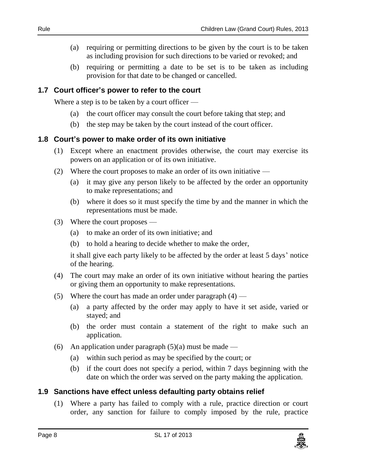- (a) requiring or permitting directions to be given by the court is to be taken as including provision for such directions to be varied or revoked; and
- (b) requiring or permitting a date to be set is to be taken as including provision for that date to be changed or cancelled.

#### <span id="page-7-0"></span>**1.7 Court officer's power to refer to the court**

Where a step is to be taken by a court officer —

- (a) the court officer may consult the court before taking that step; and
- (b) the step may be taken by the court instead of the court officer.

#### <span id="page-7-1"></span>**1.8 Court's power to make order of its own initiative**

- (1) Except where an enactment provides otherwise, the court may exercise its powers on an application or of its own initiative.
- (2) Where the court proposes to make an order of its own initiative
	- (a) it may give any person likely to be affected by the order an opportunity to make representations; and
	- (b) where it does so it must specify the time by and the manner in which the representations must be made.
- (3) Where the court proposes
	- (a) to make an order of its own initiative; and
	- (b) to hold a hearing to decide whether to make the order,

it shall give each party likely to be affected by the order at least 5 days' notice of the hearing.

- (4) The court may make an order of its own initiative without hearing the parties or giving them an opportunity to make representations.
- (5) Where the court has made an order under paragraph  $(4)$ 
	- (a) a party affected by the order may apply to have it set aside, varied or stayed; and
	- (b) the order must contain a statement of the right to make such an application.
- (6) An application under paragraph  $(5)(a)$  must be made
	- (a) within such period as may be specified by the court; or
	- (b) if the court does not specify a period, within 7 days beginning with the date on which the order was served on the party making the application.

#### <span id="page-7-2"></span>**1.9 Sanctions have effect unless defaulting party obtains relief**

(1) Where a party has failed to comply with a rule, practice direction or court order, any sanction for failure to comply imposed by the rule, practice

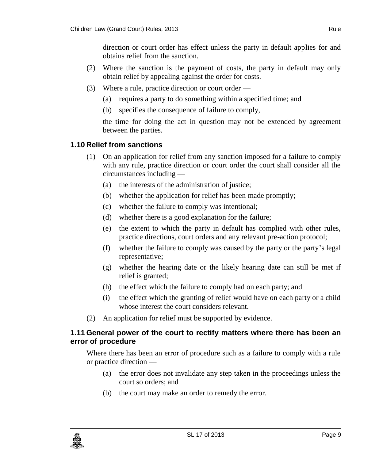direction or court order has effect unless the party in default applies for and obtains relief from the sanction.

- (2) Where the sanction is the payment of costs, the party in default may only obtain relief by appealing against the order for costs.
- (3) Where a rule, practice direction or court order
	- (a) requires a party to do something within a specified time; and
	- (b) specifies the consequence of failure to comply,

the time for doing the act in question may not be extended by agreement between the parties.

#### <span id="page-8-0"></span>**1.10 Relief from sanctions**

- (1) On an application for relief from any sanction imposed for a failure to comply with any rule, practice direction or court order the court shall consider all the circumstances including —
	- (a) the interests of the administration of justice;
	- (b) whether the application for relief has been made promptly;
	- (c) whether the failure to comply was intentional;
	- (d) whether there is a good explanation for the failure;
	- (e) the extent to which the party in default has complied with other rules, practice directions, court orders and any relevant pre-action protocol;
	- (f) whether the failure to comply was caused by the party or the party's legal representative;
	- (g) whether the hearing date or the likely hearing date can still be met if relief is granted;
	- (h) the effect which the failure to comply had on each party; and
	- (i) the effect which the granting of relief would have on each party or a child whose interest the court considers relevant.
- (2) An application for relief must be supported by evidence.

#### <span id="page-8-1"></span>**1.11 General power of the court to rectify matters where there has been an error of procedure**

Where there has been an error of procedure such as a failure to comply with a rule or practice direction —

- (a) the error does not invalidate any step taken in the proceedings unless the court so orders; and
- (b) the court may make an order to remedy the error.

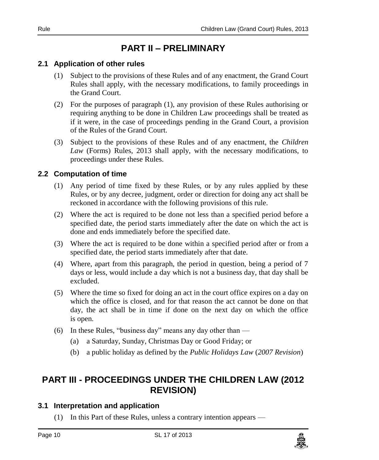# **PART II – PRELIMINARY**

#### <span id="page-9-1"></span><span id="page-9-0"></span>**2.1 Application of other rules**

- (1) Subject to the provisions of these Rules and of any enactment, the Grand Court Rules shall apply, with the necessary modifications, to family proceedings in the Grand Court.
- (2) For the purposes of paragraph (1), any provision of these Rules authorising or requiring anything to be done in Children Law proceedings shall be treated as if it were, in the case of proceedings pending in the Grand Court, a provision of the Rules of the Grand Court.
- (3) Subject to the provisions of these Rules and of any enactment, the *Children Law* (Forms) Rules, 2013 shall apply, with the necessary modifications, to proceedings under these Rules.

#### <span id="page-9-2"></span>**2.2 Computation of time**

- (1) Any period of time fixed by these Rules, or by any rules applied by these Rules, or by any decree, judgment, order or direction for doing any act shall be reckoned in accordance with the following provisions of this rule.
- (2) Where the act is required to be done not less than a specified period before a specified date, the period starts immediately after the date on which the act is done and ends immediately before the specified date.
- (3) Where the act is required to be done within a specified period after or from a specified date, the period starts immediately after that date.
- (4) Where, apart from this paragraph, the period in question, being a period of 7 days or less, would include a day which is not a business day, that day shall be excluded.
- (5) Where the time so fixed for doing an act in the court office expires on a day on which the office is closed, and for that reason the act cannot be done on that day, the act shall be in time if done on the next day on which the office is open.
- (6) In these Rules, "business day" means any day other than
	- (a) a Saturday, Sunday, Christmas Day or Good Friday; or
	- (b) a public holiday as defined by the *Public Holidays Law* (*2007 Revision*)

# <span id="page-9-3"></span>**PART III - PROCEEDINGS UNDER THE CHILDREN LAW (2012 REVISION)**

#### <span id="page-9-4"></span>**3.1 Interpretation and application**

(1) In this Part of these Rules, unless a contrary intention appears —

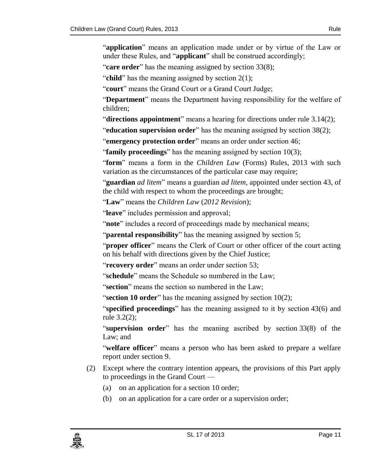"**application**" means an application made under or by virtue of the Law or under these Rules, and "**applicant**" shall be construed accordingly;

"**care order**" has the meaning assigned by section 33(8);

"**child**" has the meaning assigned by section 2(1);

"**court**" means the Grand Court or a Grand Court Judge;

"**Department**" means the Department having responsibility for the welfare of children;

"**directions appointment**" means a hearing for directions under rule 3.14(2);

"**education supervision order**" has the meaning assigned by section 38(2);

"**emergency protection order**" means an order under section 46;

"**family proceedings**" has the meaning assigned by section 10(3);

"**form**" means a form in the *Children Law* (Forms) Rules, 2013 with such variation as the circumstances of the particular case may require;

"**guardian** *ad litem*" means a guardian *ad litem*, appointed under section 43, of the child with respect to whom the proceedings are brought;

"**Law**" means the *Children Law* (*2012 Revision*);

"**leave**" includes permission and approval;

"**note**" includes a record of proceedings made by mechanical means;

"**parental responsibility**" has the meaning assigned by section 5;

"**proper officer**" means the Clerk of Court or other officer of the court acting on his behalf with directions given by the Chief Justice;

"**recovery order**" means an order under section 53;

"**schedule**" means the Schedule so numbered in the Law;

"**section**" means the section so numbered in the Law;

"**section 10 order**" has the meaning assigned by section 10(2);

"**specified proceedings**" has the meaning assigned to it by section 43(6) and rule 3.2(2);

"**supervision order**" has the meaning ascribed by section 33(8) of the Law; and

"**welfare officer**" means a person who has been asked to prepare a welfare report under section 9.

- (2) Except where the contrary intention appears, the provisions of this Part apply to proceedings in the Grand Court —
	- (a) on an application for a section 10 order;
	- (b) on an application for a care order or a supervision order;

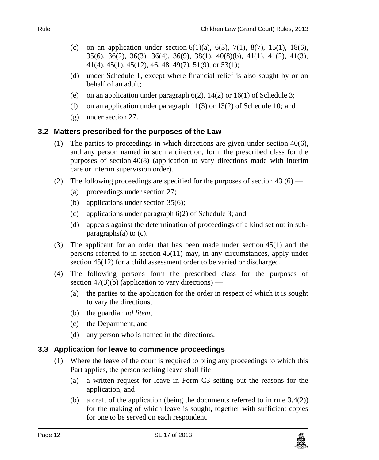- (c) on an application under section  $6(1)(a)$ ,  $6(3)$ ,  $7(1)$ ,  $8(7)$ ,  $15(1)$ ,  $18(6)$ , 35(6), 36(2), 36(3), 36(4), 36(9), 38(1), 40(8)(b), 41(1), 41(2), 41(3), 41(4), 45(1), 45(12), 46, 48, 49(7), 51(9), or 53(1);
- (d) under Schedule 1, except where financial relief is also sought by or on behalf of an adult;
- (e) on an application under paragraph  $6(2)$ ,  $14(2)$  or  $16(1)$  of Schedule 3;
- (f) on an application under paragraph 11(3) or 13(2) of Schedule 10; and
- (g) under section 27.

#### <span id="page-11-0"></span>**3.2 Matters prescribed for the purposes of the Law**

- (1) The parties to proceedings in which directions are given under section  $40(6)$ , and any person named in such a direction, form the prescribed class for the purposes of section 40(8) (application to vary directions made with interim care or interim supervision order).
- (2) The following proceedings are specified for the purposes of section 43  $(6)$ 
	- (a) proceedings under section 27;
	- (b) applications under section 35(6);
	- (c) applications under paragraph 6(2) of Schedule 3; and
	- (d) appeals against the determination of proceedings of a kind set out in subparagraphs(a) to (c).
- (3) The applicant for an order that has been made under section 45(1) and the persons referred to in section 45(11) may, in any circumstances, apply under section 45(12) for a child assessment order to be varied or discharged.
- (4) The following persons form the prescribed class for the purposes of section  $47(3)(b)$  (application to vary directions) —
	- (a) the parties to the application for the order in respect of which it is sought to vary the directions;
	- (b) the guardian *ad litem*;
	- (c) the Department; and
	- (d) any person who is named in the directions.

#### <span id="page-11-1"></span>**3.3 Application for leave to commence proceedings**

- (1) Where the leave of the court is required to bring any proceedings to which this Part applies, the person seeking leave shall file —
	- (a) a written request for leave in Form C3 setting out the reasons for the application; and
	- (b) a draft of the application (being the documents referred to in rule 3.4(2)) for the making of which leave is sought, together with sufficient copies for one to be served on each respondent.

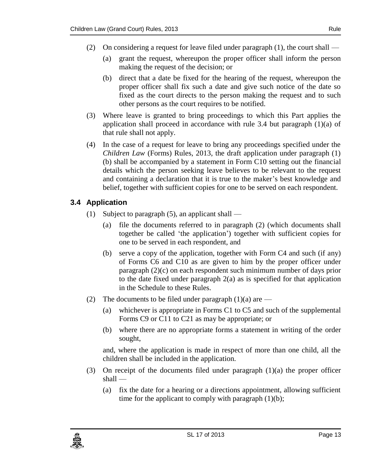- (2) On considering a request for leave filed under paragraph (1), the court shall
	- (a) grant the request, whereupon the proper officer shall inform the person making the request of the decision; or
	- (b) direct that a date be fixed for the hearing of the request, whereupon the proper officer shall fix such a date and give such notice of the date so fixed as the court directs to the person making the request and to such other persons as the court requires to be notified.
- (3) Where leave is granted to bring proceedings to which this Part applies the application shall proceed in accordance with rule 3.4 but paragraph  $(1)(a)$  of that rule shall not apply.
- (4) In the case of a request for leave to bring any proceedings specified under the *Children Law* (Forms) Rules, 2013, the draft application under paragraph (1) (b) shall be accompanied by a statement in Form C10 setting out the financial details which the person seeking leave believes to be relevant to the request and containing a declaration that it is true to the maker's best knowledge and belief, together with sufficient copies for one to be served on each respondent.

### <span id="page-12-0"></span>**3.4 Application**

- (1) Subject to paragraph  $(5)$ , an applicant shall
	- (a) file the documents referred to in paragraph (2) (which documents shall together be called 'the application') together with sufficient copies for one to be served in each respondent, and
	- (b) serve a copy of the application, together with Form C4 and such (if any) of Forms C6 and C10 as are given to him by the proper officer under paragraph  $(2)(c)$  on each respondent such minimum number of days prior to the date fixed under paragraph 2(a) as is specified for that application in the Schedule to these Rules.
- (2) The documents to be filed under paragraph  $(1)(a)$  are
	- (a) whichever is appropriate in Forms C1 to C5 and such of the supplemental Forms C9 or C11 to C21 as may be appropriate; or
	- (b) where there are no appropriate forms a statement in writing of the order sought,

and, where the application is made in respect of more than one child, all the children shall be included in the application.

- (3) On receipt of the documents filed under paragraph (1)(a) the proper officer shall —
	- (a) fix the date for a hearing or a directions appointment, allowing sufficient time for the applicant to comply with paragraph  $(1)(b)$ ;

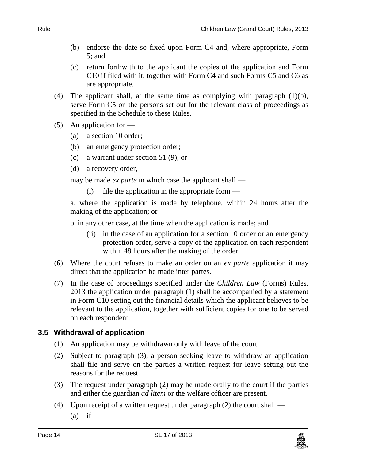- (b) endorse the date so fixed upon Form C4 and, where appropriate, Form 5; and
- (c) return forthwith to the applicant the copies of the application and Form C10 if filed with it, together with Form C4 and such Forms C5 and C6 as are appropriate.
- (4) The applicant shall, at the same time as complying with paragraph  $(1)(b)$ , serve Form C5 on the persons set out for the relevant class of proceedings as specified in the Schedule to these Rules.
- (5) An application for  $-$ 
	- (a) a section 10 order;
	- (b) an emergency protection order;
	- (c) a warrant under section 51 (9); or
	- (d) a recovery order,

may be made *ex parte* in which case the applicant shall —

(i) file the application in the appropriate form —

a. where the application is made by telephone, within 24 hours after the making of the application; or

b. in any other case, at the time when the application is made; and

- (ii) in the case of an application for a section 10 order or an emergency protection order, serve a copy of the application on each respondent within 48 hours after the making of the order.
- (6) Where the court refuses to make an order on an *ex parte* application it may direct that the application be made inter partes.
- (7) In the case of proceedings specified under the *Children Law* (Forms) Rules, 2013 the application under paragraph (1) shall be accompanied by a statement in Form C10 setting out the financial details which the applicant believes to be relevant to the application, together with sufficient copies for one to be served on each respondent.

#### <span id="page-13-0"></span>**3.5 Withdrawal of application**

- (1) An application may be withdrawn only with leave of the court.
- (2) Subject to paragraph (3), a person seeking leave to withdraw an application shall file and serve on the parties a written request for leave setting out the reasons for the request.
- (3) The request under paragraph (2) may be made orally to the court if the parties and either the guardian *ad litem* or the welfare officer are present.
- (4) Upon receipt of a written request under paragraph (2) the court shall  $(a)$  if —

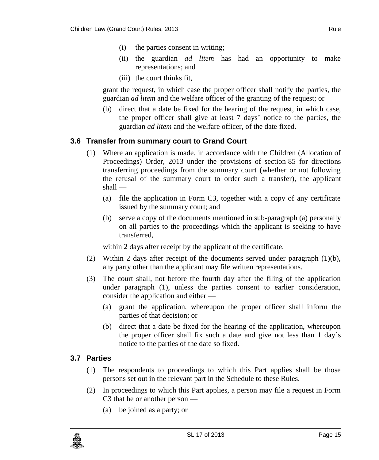- (i) the parties consent in writing;
- (ii) the guardian *ad litem* has had an opportunity to make representations; and
- (iii) the court thinks fit,

grant the request, in which case the proper officer shall notify the parties, the guardian *ad litem* and the welfare officer of the granting of the request; or

(b) direct that a date be fixed for the hearing of the request, in which case, the proper officer shall give at least 7 days' notice to the parties, the guardian *ad litem* and the welfare officer, of the date fixed.

### <span id="page-14-0"></span>**3.6 Transfer from summary court to Grand Court**

- (1) Where an application is made, in accordance with the Children (Allocation of Proceedings) Order, 2013 under the provisions of section 85 for directions transferring proceedings from the summary court (whether or not following the refusal of the summary court to order such a transfer), the applicant shall —
	- (a) file the application in Form C3, together with a copy of any certificate issued by the summary court; and
	- (b) serve a copy of the documents mentioned in sub-paragraph (a) personally on all parties to the proceedings which the applicant is seeking to have transferred,

within 2 days after receipt by the applicant of the certificate.

- (2) Within 2 days after receipt of the documents served under paragraph (1)(b), any party other than the applicant may file written representations.
- (3) The court shall, not before the fourth day after the filing of the application under paragraph (1), unless the parties consent to earlier consideration, consider the application and either —
	- (a) grant the application, whereupon the proper officer shall inform the parties of that decision; or
	- (b) direct that a date be fixed for the hearing of the application, whereupon the proper officer shall fix such a date and give not less than 1 day's notice to the parties of the date so fixed.

#### <span id="page-14-1"></span>**3.7 Parties**

- (1) The respondents to proceedings to which this Part applies shall be those persons set out in the relevant part in the Schedule to these Rules.
- (2) In proceedings to which this Part applies, a person may file a request in Form C3 that he or another person —
	- (a) be joined as a party; or

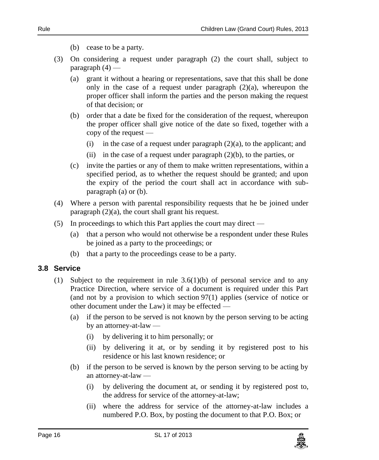- (b) cease to be a party.
- (3) On considering a request under paragraph (2) the court shall, subject to  $param<sub>4</sub>$   $\rightarrow$ 
	- (a) grant it without a hearing or representations, save that this shall be done only in the case of a request under paragraph  $(2)(a)$ , whereupon the proper officer shall inform the parties and the person making the request of that decision; or
	- (b) order that a date be fixed for the consideration of the request, whereupon the proper officer shall give notice of the date so fixed, together with a copy of the request —
		- (i) in the case of a request under paragraph  $(2)(a)$ , to the applicant; and
		- (ii) in the case of a request under paragraph  $(2)(b)$ , to the parties, or
	- (c) invite the parties or any of them to make written representations, within a specified period, as to whether the request should be granted; and upon the expiry of the period the court shall act in accordance with subparagraph (a) or (b).
- (4) Where a person with parental responsibility requests that he be joined under paragraph (2)(a), the court shall grant his request.
- (5) In proceedings to which this Part applies the court may direct
	- (a) that a person who would not otherwise be a respondent under these Rules be joined as a party to the proceedings; or
	- (b) that a party to the proceedings cease to be a party.

#### <span id="page-15-0"></span>**3.8 Service**

- (1) Subject to the requirement in rule  $3.6(1)(b)$  of personal service and to any Practice Direction, where service of a document is required under this Part (and not by a provision to which section  $97(1)$  applies (service of notice or other document under the Law) it may be effected —
	- (a) if the person to be served is not known by the person serving to be acting by an attorney-at-law —
		- (i) by delivering it to him personally; or
		- (ii) by delivering it at, or by sending it by registered post to his residence or his last known residence; or
	- (b) if the person to be served is known by the person serving to be acting by an attorney-at-law —
		- (i) by delivering the document at, or sending it by registered post to, the address for service of the attorney-at-law;
		- (ii) where the address for service of the attorney-at-law includes a numbered P.O. Box, by posting the document to that P.O. Box; or

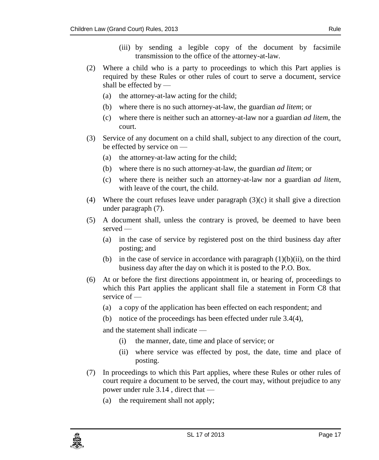- (iii) by sending a legible copy of the document by facsimile transmission to the office of the attorney-at-law.
- (2) Where a child who is a party to proceedings to which this Part applies is required by these Rules or other rules of court to serve a document, service shall be effected by —
	- (a) the attorney-at-law acting for the child;
	- (b) where there is no such attorney-at-law, the guardian *ad litem*; or
	- (c) where there is neither such an attorney-at-law nor a guardian *ad litem*, the court.
- (3) Service of any document on a child shall, subject to any direction of the court, be effected by service on —
	- (a) the attorney-at-law acting for the child;
	- (b) where there is no such attorney-at-law, the guardian *ad litem*; or
	- (c) where there is neither such an attorney-at-law nor a guardian *ad litem*, with leave of the court, the child.
- (4) Where the court refuses leave under paragraph  $(3)(c)$  it shall give a direction under paragraph (7).
- (5) A document shall, unless the contrary is proved, be deemed to have been served —
	- (a) in the case of service by registered post on the third business day after posting; and
	- (b) in the case of service in accordance with paragraph  $(1)(b)(ii)$ , on the third business day after the day on which it is posted to the P.O. Box.
- (6) At or before the first directions appointment in, or hearing of, proceedings to which this Part applies the applicant shall file a statement in Form C8 that service of —
	- (a) a copy of the application has been effected on each respondent; and
	- (b) notice of the proceedings has been effected under rule 3.4(4),

and the statement shall indicate —

- (i) the manner, date, time and place of service; or
- (ii) where service was effected by post, the date, time and place of posting.
- (7) In proceedings to which this Part applies, where these Rules or other rules of court require a document to be served, the court may, without prejudice to any power under rule 3.14 , direct that —
	- (a) the requirement shall not apply;

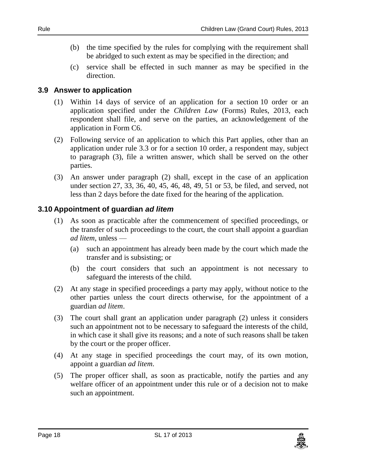- (b) the time specified by the rules for complying with the requirement shall be abridged to such extent as may be specified in the direction; and
- (c) service shall be effected in such manner as may be specified in the direction.

#### <span id="page-17-0"></span>**3.9 Answer to application**

- (1) Within 14 days of service of an application for a section 10 order or an application specified under the *Children Law* (Forms) Rules, 2013, each respondent shall file, and serve on the parties, an acknowledgement of the application in Form C6.
- (2) Following service of an application to which this Part applies, other than an application under rule 3.3 or for a section 10 order, a respondent may, subject to paragraph (3), file a written answer, which shall be served on the other parties.
- (3) An answer under paragraph (2) shall, except in the case of an application under section 27, 33, 36, 40, 45, 46, 48, 49, 51 or 53, be filed, and served, not less than 2 days before the date fixed for the hearing of the application.

#### <span id="page-17-1"></span>**3.10 Appointment of guardian** *ad litem*

- (1) As soon as practicable after the commencement of specified proceedings, or the transfer of such proceedings to the court, the court shall appoint a guardian *ad litem*, unless —
	- (a) such an appointment has already been made by the court which made the transfer and is subsisting; or
	- (b) the court considers that such an appointment is not necessary to safeguard the interests of the child.
- (2) At any stage in specified proceedings a party may apply, without notice to the other parties unless the court directs otherwise, for the appointment of a guardian *ad litem*.
- (3) The court shall grant an application under paragraph (2) unless it considers such an appointment not to be necessary to safeguard the interests of the child, in which case it shall give its reasons; and a note of such reasons shall be taken by the court or the proper officer.
- (4) At any stage in specified proceedings the court may, of its own motion, appoint a guardian *ad litem*.
- (5) The proper officer shall, as soon as practicable, notify the parties and any welfare officer of an appointment under this rule or of a decision not to make such an appointment.

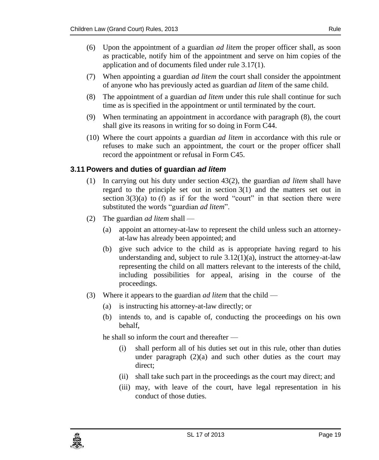- (6) Upon the appointment of a guardian *ad litem* the proper officer shall, as soon as practicable, notify him of the appointment and serve on him copies of the application and of documents filed under rule 3.17(1).
- (7) When appointing a guardian *ad litem* the court shall consider the appointment of anyone who has previously acted as guardian *ad litem* of the same child.
- (8) The appointment of a guardian *ad litem* under this rule shall continue for such time as is specified in the appointment or until terminated by the court.
- (9) When terminating an appointment in accordance with paragraph (8), the court shall give its reasons in writing for so doing in Form C44.
- (10) Where the court appoints a guardian *ad litem* in accordance with this rule or refuses to make such an appointment, the court or the proper officer shall record the appointment or refusal in Form C45.

#### <span id="page-18-0"></span>**3.11 Powers and duties of guardian** *ad litem*

- (1) In carrying out his duty under section 43(2), the guardian *ad litem* shall have regard to the principle set out in section  $3(1)$  and the matters set out in section  $3(3)(a)$  to (f) as if for the word "court" in that section there were substituted the words "guardian *ad litem*".
- (2) The guardian *ad litem* shall
	- (a) appoint an attorney-at-law to represent the child unless such an attorneyat-law has already been appointed; and
	- (b) give such advice to the child as is appropriate having regard to his understanding and, subject to rule  $3.12(1)(a)$ , instruct the attorney-at-law representing the child on all matters relevant to the interests of the child, including possibilities for appeal, arising in the course of the proceedings.
- (3) Where it appears to the guardian *ad litem* that the child
	- (a) is instructing his attorney-at-law directly; or
	- (b) intends to, and is capable of, conducting the proceedings on his own behalf,

he shall so inform the court and thereafter —

- (i) shall perform all of his duties set out in this rule, other than duties under paragraph  $(2)(a)$  and such other duties as the court may direct;
- (ii) shall take such part in the proceedings as the court may direct; and
- (iii) may, with leave of the court, have legal representation in his conduct of those duties.

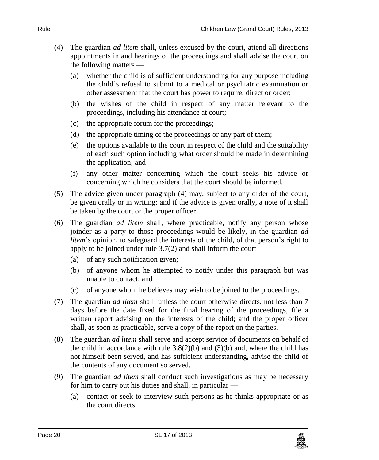- (4) The guardian *ad litem* shall, unless excused by the court, attend all directions appointments in and hearings of the proceedings and shall advise the court on the following matters —
	- (a) whether the child is of sufficient understanding for any purpose including the child's refusal to submit to a medical or psychiatric examination or other assessment that the court has power to require, direct or order;
	- (b) the wishes of the child in respect of any matter relevant to the proceedings, including his attendance at court;
	- (c) the appropriate forum for the proceedings;
	- (d) the appropriate timing of the proceedings or any part of them;
	- (e) the options available to the court in respect of the child and the suitability of each such option including what order should be made in determining the application; and
	- (f) any other matter concerning which the court seeks his advice or concerning which he considers that the court should be informed.
- (5) The advice given under paragraph (4) may, subject to any order of the court, be given orally or in writing; and if the advice is given orally, a note of it shall be taken by the court or the proper officer.
- (6) The guardian *ad litem* shall, where practicable, notify any person whose joinder as a party to those proceedings would be likely, in the guardian *ad litem*'s opinion, to safeguard the interests of the child, of that person's right to apply to be joined under rule  $3.7(2)$  and shall inform the court —
	- (a) of any such notification given;
	- (b) of anyone whom he attempted to notify under this paragraph but was unable to contact; and
	- (c) of anyone whom he believes may wish to be joined to the proceedings.
- (7) The guardian *ad litem* shall, unless the court otherwise directs, not less than 7 days before the date fixed for the final hearing of the proceedings, file a written report advising on the interests of the child; and the proper officer shall, as soon as practicable, serve a copy of the report on the parties.
- (8) The guardian *ad litem* shall serve and accept service of documents on behalf of the child in accordance with rule  $3.8(2)(b)$  and  $(3)(b)$  and, where the child has not himself been served, and has sufficient understanding, advise the child of the contents of any document so served.
- (9) The guardian *ad litem* shall conduct such investigations as may be necessary for him to carry out his duties and shall, in particular —
	- (a) contact or seek to interview such persons as he thinks appropriate or as the court directs;

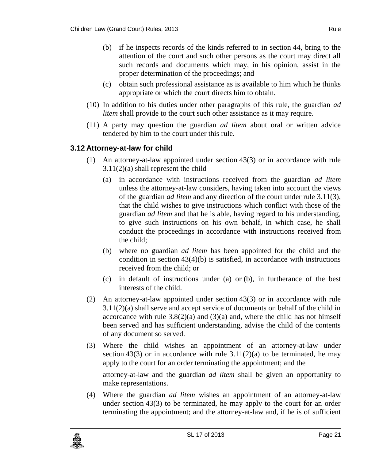- (b) if he inspects records of the kinds referred to in section 44, bring to the attention of the court and such other persons as the court may direct all such records and documents which may, in his opinion, assist in the proper determination of the proceedings; and
- (c) obtain such professional assistance as is available to him which he thinks appropriate or which the court directs him to obtain.
- (10) In addition to his duties under other paragraphs of this rule, the guardian *ad litem* shall provide to the court such other assistance as it may require.
- (11) A party may question the guardian *ad litem* about oral or written advice tendered by him to the court under this rule.

#### <span id="page-20-0"></span>**3.12 Attorney-at-law for child**

- (1) An attorney-at-law appointed under section 43(3) or in accordance with rule  $3.11(2)(a)$  shall represent the child —
	- (a) in accordance with instructions received from the guardian *ad litem* unless the attorney-at-law considers, having taken into account the views of the guardian *ad litem* and any direction of the court under rule 3.11(3), that the child wishes to give instructions which conflict with those of the guardian *ad litem* and that he is able, having regard to his understanding, to give such instructions on his own behalf, in which case, he shall conduct the proceedings in accordance with instructions received from the child;
	- (b) where no guardian *ad litem* has been appointed for the child and the condition in section  $43(4)(b)$  is satisfied, in accordance with instructions received from the child; or
	- (c) in default of instructions under (a) or (b), in furtherance of the best interests of the child.
- (2) An attorney-at-law appointed under section 43(3) or in accordance with rule 3.11(2)(a) shall serve and accept service of documents on behalf of the child in accordance with rule  $3.8(2)(a)$  and  $(3)(a)$  and, where the child has not himself been served and has sufficient understanding, advise the child of the contents of any document so served.
- (3) Where the child wishes an appointment of an attorney-at-law under section 43(3) or in accordance with rule  $3.11(2)(a)$  to be terminated, he may apply to the court for an order terminating the appointment; and the

attorney-at-law and the guardian *ad litem* shall be given an opportunity to make representations.

(4) Where the guardian *ad litem* wishes an appointment of an attorney-at-law under section 43(3) to be terminated, he may apply to the court for an order terminating the appointment; and the attorney-at-law and, if he is of sufficient

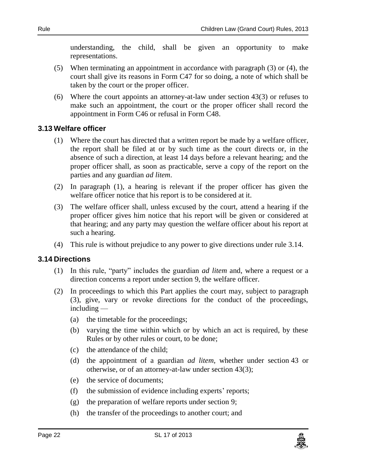understanding, the child, shall be given an opportunity to make representations.

- (5) When terminating an appointment in accordance with paragraph (3) or (4), the court shall give its reasons in Form C47 for so doing, a note of which shall be taken by the court or the proper officer.
- (6) Where the court appoints an attorney-at-law under section 43(3) or refuses to make such an appointment, the court or the proper officer shall record the appointment in Form C46 or refusal in Form C48.

#### <span id="page-21-0"></span>**3.13 Welfare officer**

- (1) Where the court has directed that a written report be made by a welfare officer, the report shall be filed at or by such time as the court directs or, in the absence of such a direction, at least 14 days before a relevant hearing; and the proper officer shall, as soon as practicable, serve a copy of the report on the parties and any guardian *ad litem*.
- (2) In paragraph (1), a hearing is relevant if the proper officer has given the welfare officer notice that his report is to be considered at it.
- (3) The welfare officer shall, unless excused by the court, attend a hearing if the proper officer gives him notice that his report will be given or considered at that hearing; and any party may question the welfare officer about his report at such a hearing.
- (4) This rule is without prejudice to any power to give directions under rule 3.14.

#### <span id="page-21-1"></span>**3.14 Directions**

- (1) In this rule, "party" includes the guardian *ad litem* and, where a request or a direction concerns a report under section 9, the welfare officer.
- (2) In proceedings to which this Part applies the court may, subject to paragraph (3), give, vary or revoke directions for the conduct of the proceedings, including —
	- (a) the timetable for the proceedings;
	- (b) varying the time within which or by which an act is required, by these Rules or by other rules or court, to be done;
	- (c) the attendance of the child;
	- (d) the appointment of a guardian *ad litem*, whether under section 43 or otherwise, or of an attorney-at-law under section 43(3);
	- (e) the service of documents;
	- (f) the submission of evidence including experts' reports;
	- (g) the preparation of welfare reports under section 9;
	- (h) the transfer of the proceedings to another court; and

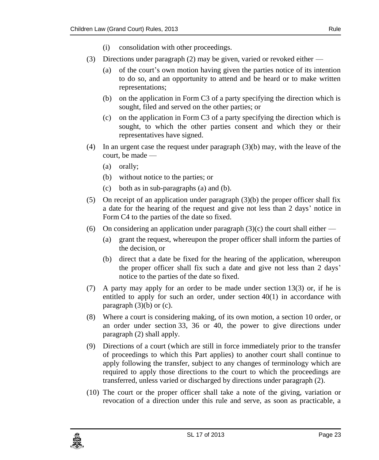- (i) consolidation with other proceedings.
- (3) Directions under paragraph (2) may be given, varied or revoked either
	- (a) of the court's own motion having given the parties notice of its intention to do so, and an opportunity to attend and be heard or to make written representations;
	- (b) on the application in Form C3 of a party specifying the direction which is sought, filed and served on the other parties; or
	- (c) on the application in Form C3 of a party specifying the direction which is sought, to which the other parties consent and which they or their representatives have signed.
- (4) In an urgent case the request under paragraph (3)(b) may, with the leave of the court, be made —
	- (a) orally;
	- (b) without notice to the parties; or
	- (c) both as in sub-paragraphs (a) and (b).
- (5) On receipt of an application under paragraph  $(3)(b)$  the proper officer shall fix a date for the hearing of the request and give not less than 2 days' notice in Form C4 to the parties of the date so fixed.
- (6) On considering an application under paragraph  $(3)(c)$  the court shall either
	- (a) grant the request, whereupon the proper officer shall inform the parties of the decision, or
	- (b) direct that a date be fixed for the hearing of the application, whereupon the proper officer shall fix such a date and give not less than 2 days' notice to the parties of the date so fixed.
- (7) A party may apply for an order to be made under section 13(3) or, if he is entitled to apply for such an order, under section  $40(1)$  in accordance with paragraph  $(3)(b)$  or  $(c)$ .
- (8) Where a court is considering making, of its own motion, a section 10 order, or an order under section 33, 36 or 40, the power to give directions under paragraph (2) shall apply.
- (9) Directions of a court (which are still in force immediately prior to the transfer of proceedings to which this Part applies) to another court shall continue to apply following the transfer, subject to any changes of terminology which are required to apply those directions to the court to which the proceedings are transferred, unless varied or discharged by directions under paragraph (2).
- (10) The court or the proper officer shall take a note of the giving, variation or revocation of a direction under this rule and serve, as soon as practicable, a

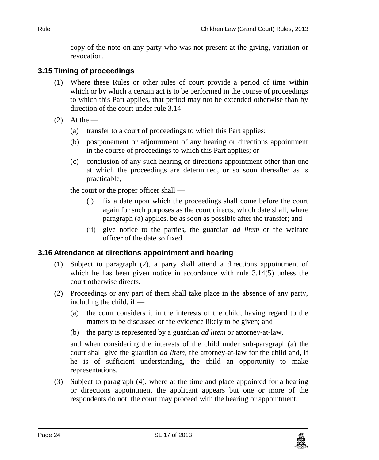copy of the note on any party who was not present at the giving, variation or revocation.

#### <span id="page-23-0"></span>**3.15 Timing of proceedings**

- (1) Where these Rules or other rules of court provide a period of time within which or by which a certain act is to be performed in the course of proceedings to which this Part applies, that period may not be extended otherwise than by direction of the court under rule 3.14.
- $(2)$  At the
	- (a) transfer to a court of proceedings to which this Part applies;
	- (b) postponement or adjournment of any hearing or directions appointment in the course of proceedings to which this Part applies; or
	- (c) conclusion of any such hearing or directions appointment other than one at which the proceedings are determined, or so soon thereafter as is practicable,

the court or the proper officer shall —

- (i) fix a date upon which the proceedings shall come before the court again for such purposes as the court directs, which date shall, where paragraph (a) applies, be as soon as possible after the transfer; and
- (ii) give notice to the parties, the guardian *ad litem* or the welfare officer of the date so fixed.

#### <span id="page-23-1"></span>**3.16 Attendance at directions appointment and hearing**

- (1) Subject to paragraph (2), a party shall attend a directions appointment of which he has been given notice in accordance with rule 3.14(5) unless the court otherwise directs.
- (2) Proceedings or any part of them shall take place in the absence of any party, including the child, if —
	- (a) the court considers it in the interests of the child, having regard to the matters to be discussed or the evidence likely to be given; and
	- (b) the party is represented by a guardian *ad litem* or attorney-at-law,

and when considering the interests of the child under sub-paragraph (a) the court shall give the guardian *ad litem*, the attorney-at-law for the child and, if he is of sufficient understanding, the child an opportunity to make representations.

(3) Subject to paragraph (4), where at the time and place appointed for a hearing or directions appointment the applicant appears but one or more of the respondents do not, the court may proceed with the hearing or appointment.

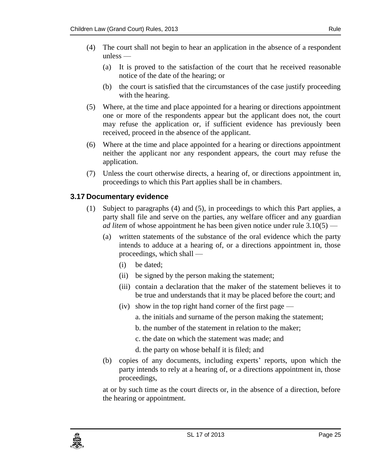- (4) The court shall not begin to hear an application in the absence of a respondent unless —
	- (a) It is proved to the satisfaction of the court that he received reasonable notice of the date of the hearing; or
	- (b) the court is satisfied that the circumstances of the case justify proceeding with the hearing.
- (5) Where, at the time and place appointed for a hearing or directions appointment one or more of the respondents appear but the applicant does not, the court may refuse the application or, if sufficient evidence has previously been received, proceed in the absence of the applicant.
- (6) Where at the time and place appointed for a hearing or directions appointment neither the applicant nor any respondent appears, the court may refuse the application.
- (7) Unless the court otherwise directs, a hearing of, or directions appointment in, proceedings to which this Part applies shall be in chambers.

#### <span id="page-24-0"></span>**3.17 Documentary evidence**

- (1) Subject to paragraphs (4) and (5), in proceedings to which this Part applies, a party shall file and serve on the parties, any welfare officer and any guardian *ad litem* of whose appointment he has been given notice under rule 3.10(5) —
	- (a) written statements of the substance of the oral evidence which the party intends to adduce at a hearing of, or a directions appointment in, those proceedings, which shall —
		- (i) be dated;
		- (ii) be signed by the person making the statement;
		- (iii) contain a declaration that the maker of the statement believes it to be true and understands that it may be placed before the court; and
		- (iv) show in the top right hand corner of the first page
			- a. the initials and surname of the person making the statement;
			- b. the number of the statement in relation to the maker;
			- c. the date on which the statement was made; and
			- d. the party on whose behalf it is filed; and
	- (b) copies of any documents, including experts' reports, upon which the party intends to rely at a hearing of, or a directions appointment in, those proceedings,

at or by such time as the court directs or, in the absence of a direction, before the hearing or appointment.

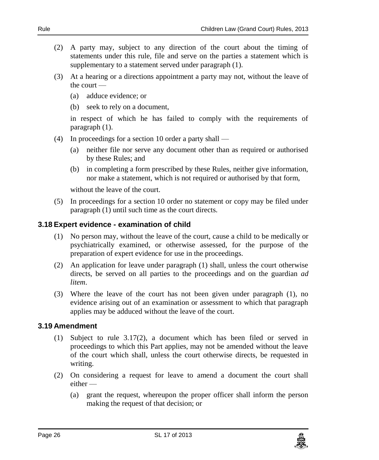- (2) A party may, subject to any direction of the court about the timing of statements under this rule, file and serve on the parties a statement which is supplementary to a statement served under paragraph (1).
- (3) At a hearing or a directions appointment a party may not, without the leave of the court —
	- (a) adduce evidence; or
	- (b) seek to rely on a document,

in respect of which he has failed to comply with the requirements of paragraph (1).

- (4) In proceedings for a section 10 order a party shall
	- (a) neither file nor serve any document other than as required or authorised by these Rules; and
	- (b) in completing a form prescribed by these Rules, neither give information, nor make a statement, which is not required or authorised by that form,

without the leave of the court.

(5) In proceedings for a section 10 order no statement or copy may be filed under paragraph (1) until such time as the court directs.

#### <span id="page-25-0"></span>**3.18 Expert evidence - examination of child**

- (1) No person may, without the leave of the court, cause a child to be medically or psychiatrically examined, or otherwise assessed, for the purpose of the preparation of expert evidence for use in the proceedings.
- (2) An application for leave under paragraph (1) shall, unless the court otherwise directs, be served on all parties to the proceedings and on the guardian *ad litem*.
- (3) Where the leave of the court has not been given under paragraph (1), no evidence arising out of an examination or assessment to which that paragraph applies may be adduced without the leave of the court.

#### <span id="page-25-1"></span>**3.19 Amendment**

- (1) Subject to rule 3.17(2), a document which has been filed or served in proceedings to which this Part applies, may not be amended without the leave of the court which shall, unless the court otherwise directs, be requested in writing.
- (2) On considering a request for leave to amend a document the court shall either —
	- (a) grant the request, whereupon the proper officer shall inform the person making the request of that decision; or

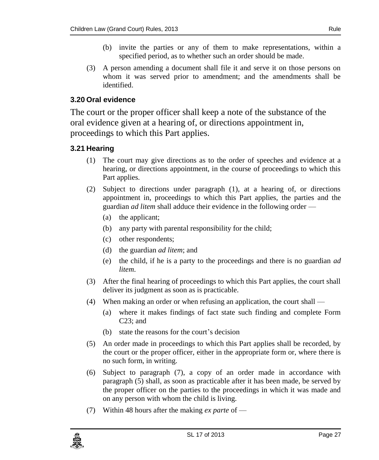- (b) invite the parties or any of them to make representations, within a specified period, as to whether such an order should be made.
- (3) A person amending a document shall file it and serve it on those persons on whom it was served prior to amendment; and the amendments shall be identified.

#### <span id="page-26-0"></span>**3.20 Oral evidence**

The court or the proper officer shall keep a note of the substance of the oral evidence given at a hearing of, or directions appointment in, proceedings to which this Part applies.

### <span id="page-26-1"></span>**3.21 Hearing**

- (1) The court may give directions as to the order of speeches and evidence at a hearing, or directions appointment, in the course of proceedings to which this Part applies.
- (2) Subject to directions under paragraph (1), at a hearing of, or directions appointment in, proceedings to which this Part applies, the parties and the guardian *ad litem* shall adduce their evidence in the following order —
	- (a) the applicant;
	- (b) any party with parental responsibility for the child;
	- (c) other respondents;
	- (d) the guardian *ad litem*; and
	- (e) the child, if he is a party to the proceedings and there is no guardian *ad litem*.
- (3) After the final hearing of proceedings to which this Part applies, the court shall deliver its judgment as soon as is practicable.
- (4) When making an order or when refusing an application, the court shall
	- (a) where it makes findings of fact state such finding and complete Form C23; and
	- (b) state the reasons for the court's decision
- (5) An order made in proceedings to which this Part applies shall be recorded, by the court or the proper officer, either in the appropriate form or, where there is no such form, in writing.
- (6) Subject to paragraph (7), a copy of an order made in accordance with paragraph (5) shall, as soon as practicable after it has been made, be served by the proper officer on the parties to the proceedings in which it was made and on any person with whom the child is living.
- (7) Within 48 hours after the making *ex parte* of —

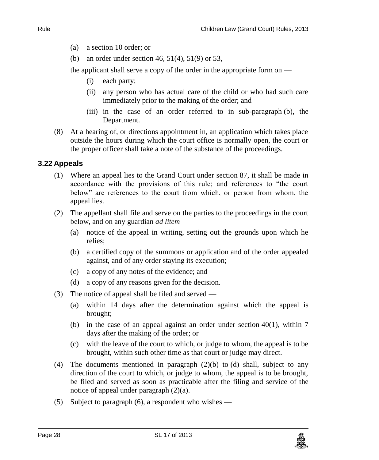- (a) a section 10 order; or
- (b) an order under section 46, 51(4), 51(9) or 53,

the applicant shall serve a copy of the order in the appropriate form on —

- (i) each party;
- (ii) any person who has actual care of the child or who had such care immediately prior to the making of the order; and
- (iii) in the case of an order referred to in sub-paragraph (b), the Department.
- (8) At a hearing of, or directions appointment in, an application which takes place outside the hours during which the court office is normally open, the court or the proper officer shall take a note of the substance of the proceedings.

#### <span id="page-27-0"></span>**3.22 Appeals**

- (1) Where an appeal lies to the Grand Court under section 87, it shall be made in accordance with the provisions of this rule; and references to "the court below" are references to the court from which, or person from whom, the appeal lies.
- (2) The appellant shall file and serve on the parties to the proceedings in the court below, and on any guardian *ad litem* —
	- (a) notice of the appeal in writing, setting out the grounds upon which he relies;
	- (b) a certified copy of the summons or application and of the order appealed against, and of any order staying its execution;
	- (c) a copy of any notes of the evidence; and
	- (d) a copy of any reasons given for the decision.
- (3) The notice of appeal shall be filed and served
	- (a) within 14 days after the determination against which the appeal is brought;
	- (b) in the case of an appeal against an order under section  $40(1)$ , within 7 days after the making of the order; or
	- (c) with the leave of the court to which, or judge to whom, the appeal is to be brought, within such other time as that court or judge may direct.
- (4) The documents mentioned in paragraph  $(2)(b)$  to (d) shall, subject to any direction of the court to which, or judge to whom, the appeal is to be brought, be filed and served as soon as practicable after the filing and service of the notice of appeal under paragraph (2)(a).
- (5) Subject to paragraph (6), a respondent who wishes —

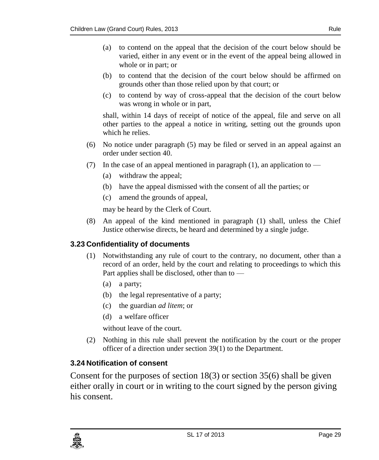- (a) to contend on the appeal that the decision of the court below should be varied, either in any event or in the event of the appeal being allowed in whole or in part; or
- (b) to contend that the decision of the court below should be affirmed on grounds other than those relied upon by that court; or
- (c) to contend by way of cross-appeal that the decision of the court below was wrong in whole or in part,

shall, within 14 days of receipt of notice of the appeal, file and serve on all other parties to the appeal a notice in writing, setting out the grounds upon which he relies.

- (6) No notice under paragraph (5) may be filed or served in an appeal against an order under section 40.
- (7) In the case of an appeal mentioned in paragraph  $(1)$ , an application to
	- (a) withdraw the appeal;
	- (b) have the appeal dismissed with the consent of all the parties; or
	- (c) amend the grounds of appeal,

may be heard by the Clerk of Court.

(8) An appeal of the kind mentioned in paragraph (1) shall, unless the Chief Justice otherwise directs, be heard and determined by a single judge.

#### <span id="page-28-0"></span>**3.23 Confidentiality of documents**

- (1) Notwithstanding any rule of court to the contrary, no document, other than a record of an order, held by the court and relating to proceedings to which this Part applies shall be disclosed, other than to —
	- (a) a party;
	- (b) the legal representative of a party;
	- (c) the guardian *ad litem*; or
	- (d) a welfare officer

without leave of the court.

(2) Nothing in this rule shall prevent the notification by the court or the proper officer of a direction under section 39(1) to the Department.

#### <span id="page-28-1"></span>**3.24 Notification of consent**

Consent for the purposes of section 18(3) or section 35(6) shall be given either orally in court or in writing to the court signed by the person giving his consent.

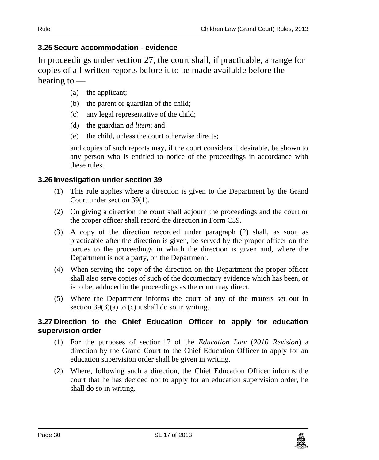#### <span id="page-29-0"></span>**3.25 Secure accommodation - evidence**

In proceedings under section 27, the court shall, if practicable, arrange for copies of all written reports before it to be made available before the hearing to —

- (a) the applicant;
- (b) the parent or guardian of the child;
- (c) any legal representative of the child;
- (d) the guardian *ad litem*; and
- (e) the child, unless the court otherwise directs;

and copies of such reports may, if the court considers it desirable, be shown to any person who is entitled to notice of the proceedings in accordance with these rules.

#### <span id="page-29-1"></span>**3.26 Investigation under section 39**

- (1) This rule applies where a direction is given to the Department by the Grand Court under section 39(1).
- (2) On giving a direction the court shall adjourn the proceedings and the court or the proper officer shall record the direction in Form C39.
- (3) A copy of the direction recorded under paragraph (2) shall, as soon as practicable after the direction is given, be served by the proper officer on the parties to the proceedings in which the direction is given and, where the Department is not a party, on the Department.
- (4) When serving the copy of the direction on the Department the proper officer shall also serve copies of such of the documentary evidence which has been, or is to be, adduced in the proceedings as the court may direct.
- (5) Where the Department informs the court of any of the matters set out in section  $39(3)(a)$  to (c) it shall do so in writing.

#### <span id="page-29-2"></span>**3.27 Direction to the Chief Education Officer to apply for education supervision order**

- (1) For the purposes of section 17 of the *Education Law* (*2010 Revision*) a direction by the Grand Court to the Chief Education Officer to apply for an education supervision order shall be given in writing.
- (2) Where, following such a direction, the Chief Education Officer informs the court that he has decided not to apply for an education supervision order, he shall do so in writing.

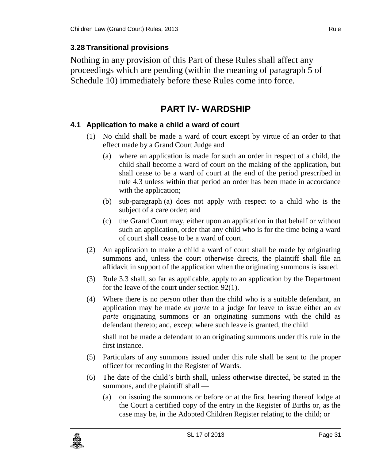#### <span id="page-30-0"></span>**3.28 Transitional provisions**

<span id="page-30-1"></span>Nothing in any provision of this Part of these Rules shall affect any proceedings which are pending (within the meaning of paragraph 5 of Schedule 10) immediately before these Rules come into force.

## **PART lV- WARDSHIP**

#### <span id="page-30-2"></span>**4.1 Application to make a child a ward of court**

- (1) No child shall be made a ward of court except by virtue of an order to that effect made by a Grand Court Judge and
	- (a) where an application is made for such an order in respect of a child, the child shall become a ward of court on the making of the application, but shall cease to be a ward of court at the end of the period prescribed in rule 4.3 unless within that period an order has been made in accordance with the application;
	- (b) sub-paragraph (a) does not apply with respect to a child who is the subject of a care order; and
	- (c) the Grand Court may, either upon an application in that behalf or without such an application, order that any child who is for the time being a ward of court shall cease to be a ward of court.
- (2) An application to make a child a ward of court shall be made by originating summons and, unless the court otherwise directs, the plaintiff shall file an affidavit in support of the application when the originating summons is issued.
- (3) Rule 3.3 shall, so far as applicable, apply to an application by the Department for the leave of the court under section 92(1).
- (4) Where there is no person other than the child who is a suitable defendant, an application may be made *ex parte* to a judge for leave to issue either an *ex parte* originating summons or an originating summons with the child as defendant thereto; and, except where such leave is granted, the child

shall not be made a defendant to an originating summons under this rule in the first instance.

- (5) Particulars of any summons issued under this rule shall be sent to the proper officer for recording in the Register of Wards.
- (6) The date of the child's birth shall, unless otherwise directed, be stated in the summons, and the plaintiff shall —
	- (a) on issuing the summons or before or at the first hearing thereof lodge at the Court a certified copy of the entry in the Register of Births or, as the case may be, in the Adopted Children Register relating to the child; or

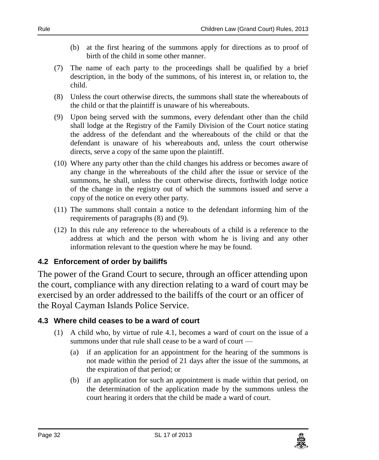- (b) at the first hearing of the summons apply for directions as to proof of birth of the child in some other manner.
- (7) The name of each party to the proceedings shall be qualified by a brief description, in the body of the summons, of his interest in, or relation to, the child.
- (8) Unless the court otherwise directs, the summons shall state the whereabouts of the child or that the plaintiff is unaware of his whereabouts.
- (9) Upon being served with the summons, every defendant other than the child shall lodge at the Registry of the Family Division of the Court notice stating the address of the defendant and the whereabouts of the child or that the defendant is unaware of his whereabouts and, unless the court otherwise directs, serve a copy of the same upon the plaintiff.
- (10) Where any party other than the child changes his address or becomes aware of any change in the whereabouts of the child after the issue or service of the summons, he shall, unless the court otherwise directs, forthwith lodge notice of the change in the registry out of which the summons issued and serve a copy of the notice on every other party.
- (11) The summons shall contain a notice to the defendant informing him of the requirements of paragraphs (8) and (9).
- (12) In this rule any reference to the whereabouts of a child is a reference to the address at which and the person with whom he is living and any other information relevant to the question where he may be found.

#### <span id="page-31-0"></span>**4.2 Enforcement of order by bailiffs**

The power of the Grand Court to secure, through an officer attending upon the court, compliance with any direction relating to a ward of court may be exercised by an order addressed to the bailiffs of the court or an officer of the Royal Cayman Islands Police Service.

#### <span id="page-31-1"></span>**4.3 Where child ceases to be a ward of court**

- (1) A child who, by virtue of rule 4.1, becomes a ward of court on the issue of a summons under that rule shall cease to be a ward of court —
	- (a) if an application for an appointment for the hearing of the summons is not made within the period of 21 days after the issue of the summons, at the expiration of that period; or
	- (b) if an application for such an appointment is made within that period, on the determination of the application made by the summons unless the court hearing it orders that the child be made a ward of court.

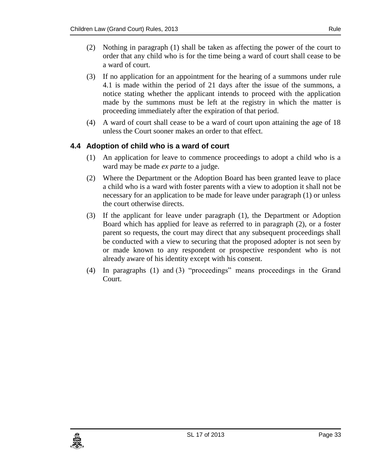- (2) Nothing in paragraph (1) shall be taken as affecting the power of the court to order that any child who is for the time being a ward of court shall cease to be a ward of court.
- (3) If no application for an appointment for the hearing of a summons under rule 4.1 is made within the period of 21 days after the issue of the summons, a notice stating whether the applicant intends to proceed with the application made by the summons must be left at the registry in which the matter is proceeding immediately after the expiration of that period.
- (4) A ward of court shall cease to be a ward of court upon attaining the age of 18 unless the Court sooner makes an order to that effect.

#### <span id="page-32-0"></span>**4.4 Adoption of child who is a ward of court**

- (1) An application for leave to commence proceedings to adopt a child who is a ward may be made *ex parte* to a judge.
- (2) Where the Department or the Adoption Board has been granted leave to place a child who is a ward with foster parents with a view to adoption it shall not be necessary for an application to be made for leave under paragraph (1) or unless the court otherwise directs.
- (3) If the applicant for leave under paragraph (1), the Department or Adoption Board which has applied for leave as referred to in paragraph (2), or a foster parent so requests, the court may direct that any subsequent proceedings shall be conducted with a view to securing that the proposed adopter is not seen by or made known to any respondent or prospective respondent who is not already aware of his identity except with his consent.
- (4) In paragraphs (1) and (3) "proceedings" means proceedings in the Grand Court.

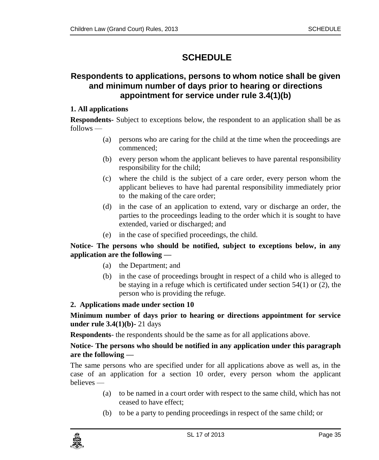# <span id="page-34-0"></span>**SCHEDULE**

### <span id="page-34-1"></span>**Respondents to applications, persons to whom notice shall be given and minimum number of days prior to hearing or directions appointment for service under rule 3.4(1)(b)**

#### **1. All applications**

**Respondents-** Subject to exceptions below, the respondent to an application shall be as follows —

- (a) persons who are caring for the child at the time when the proceedings are commenced;
- (b) every person whom the applicant believes to have parental responsibility responsibility for the child;
- (c) where the child is the subject of a care order, every person whom the applicant believes to have had parental responsibility immediately prior to the making of the care order;
- (d) in the case of an application to extend, vary or discharge an order, the parties to the proceedings leading to the order which it is sought to have extended, varied or discharged; and
- (e) in the case of specified proceedings, the child.

#### **Notice- The persons who should be notified, subject to exceptions below, in any application are the following —**

- (a) the Department; and
- (b) in the case of proceedings brought in respect of a child who is alleged to be staying in a refuge which is certificated under section 54(1) or (2), the person who is providing the refuge.

#### **2. Applications made under section 10**

**Minimum number of days prior to hearing or directions appointment for service under rule 3.4(1)(b)-** 21 days

**Respondents**- the respondents should be the same as for all applications above.

#### **Notice- The persons who should be notified in any application under this paragraph are the following —**

The same persons who are specified under for all applications above as well as, in the case of an application for a section 10 order, every person whom the applicant believes —

- (a) to be named in a court order with respect to the same child, which has not ceased to have effect;
- (b) to be a party to pending proceedings in respect of the same child; or

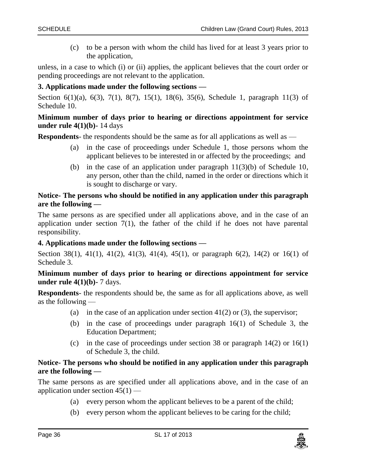(c) to be a person with whom the child has lived for at least 3 years prior to the application,

unless, in a case to which (i) or (ii) applies, the applicant believes that the court order or pending proceedings are not relevant to the application.

#### **3. Applications made under the following sections —**

Section 6(1)(a), 6(3), 7(1), 8(7), 15(1), 18(6), 35(6), Schedule 1, paragraph 11(3) of Schedule 10.

#### **Minimum number of days prior to hearing or directions appointment for service under rule 4(1)(b)-** 14 days

**Respondents**- the respondents should be the same as for all applications as well as —

- (a) in the case of proceedings under Schedule 1, those persons whom the applicant believes to be interested in or affected by the proceedings; and
- (b) in the case of an application under paragraph 11(3)(b) of Schedule 10, any person, other than the child, named in the order or directions which it is sought to discharge or vary.

#### **Notice- The persons who should be notified in any application under this paragraph are the following —**

The same persons as are specified under all applications above, and in the case of an application under section  $7(1)$ , the father of the child if he does not have parental responsibility.

#### **4. Applications made under the following sections —**

Section 38(1), 41(1), 41(2), 41(3), 41(4), 45(1), or paragraph 6(2), 14(2) or 16(1) of Schedule 3.

#### **Minimum number of days prior to hearing or directions appointment for service under rule 4(1)(b)-** 7 days.

**Respondents**- the respondents should be, the same as for all applications above, as well as the following —

- (a) in the case of an application under section  $41(2)$  or (3), the supervisor;
- (b) in the case of proceedings under paragraph 16(1) of Schedule 3, the Education Department;
- (c) in the case of proceedings under section 38 or paragraph 14(2) or 16(1) of Schedule 3, the child.

#### **Notice- The persons who should be notified in any application under this paragraph are the following —**

The same persons as are specified under all applications above, and in the case of an application under section  $45(1)$  —

- (a) every person whom the applicant believes to be a parent of the child;
- (b) every person whom the applicant believes to be caring for the child;

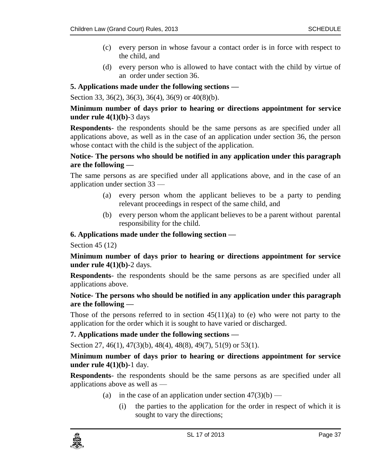- (c) every person in whose favour a contact order is in force with respect to the child, and
- (d) every person who is allowed to have contact with the child by virtue of an order under section 36.

#### **5. Applications made under the following sections —**

Section 33, 36(2), 36(3), 36(4), 36(9) or 40(8)(b).

#### **Minimum number of days prior to hearing or directions appointment for service under rule 4(1)(b)-**3 days

**Respondents**- the respondents should be the same persons as are specified under all applications above, as well as in the case of an application under section 36, the person whose contact with the child is the subject of the application.

#### **Notice- The persons who should be notified in any application under this paragraph are the following —**

The same persons as are specified under all applications above, and in the case of an application under section 33 —

- (a) every person whom the applicant believes to be a party to pending relevant proceedings in respect of the same child, and
- (b) every person whom the applicant believes to be a parent without parental responsibility for the child.

#### **6. Applications made under the following section —**

Section 45 (12)

**Minimum number of days prior to hearing or directions appointment for service under rule 4(1)(b)-**2 days.

**Respondents**- the respondents should be the same persons as are specified under all applications above.

#### **Notice- The persons who should be notified in any application under this paragraph are the following —**

Those of the persons referred to in section  $45(11)(a)$  to (e) who were not party to the application for the order which it is sought to have varied or discharged.

#### **7. Applications made under the following sections —**

Section 27, 46(1), 47(3)(b), 48(4), 48(8), 49(7), 51(9) or 53(1).

**Minimum number of days prior to hearing or directions appointment for service under rule 4(1)(b)-**1 day.

**Respondents**- the respondents should be the same persons as are specified under all applications above as well as —

- (a) in the case of an application under section  $47(3)(b)$ 
	- (i) the parties to the application for the order in respect of which it is sought to vary the directions;